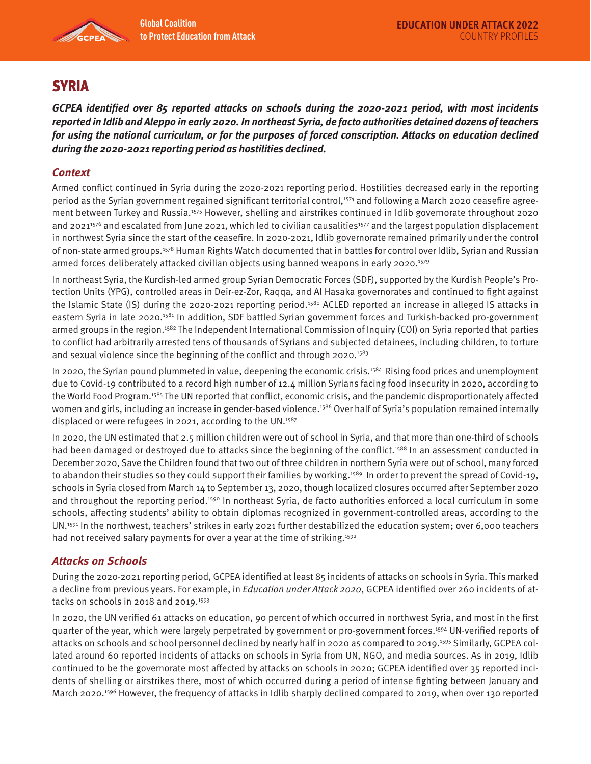

# **SYRIA**

**GCPEA identified over 85 reported attacks on schools during the 2020-2021 period, with most incidents reported in Idlib and Aleppo in early 2020. In northeast Syria, de facto authorities detained dozens of teachers for using the national curriculum, or for the purposes of forced conscription. Attacks on education declined during the 2020-2021 reporting period as hostilities declined.** 

# **Context**

Armed conflict continued in Syria during the 2020-2021 reporting period. Hostilities decreased early in the reporting period as the Syrian government regained significant territorial control,<sup>1574</sup> and following a March 2020 ceasefire agreement between Turkey and Russia.1575 However, shelling and airstrikes continued in Idlib governorate throughout 2020 and 2021<sup>1576</sup> and escalated from June 2021, which led to civilian causalities<sup>1577</sup> and the largest population displacement in northwest Syria since the start of the ceasefire. In 2020-2021, Idlib governorate remained primarily under the control of non-state armed groups.1578 Human Rights Watch documented that in battles for control over Idlib, Syrian and Russian armed forces deliberately attacked civilian objects using banned weapons in early 2020.1579

In northeast Syria, the Kurdish-led armed group Syrian Democratic Forces (SDF), supported by the Kurdish People's Protection Units (YPG), controlled areas in Deir-ez-Zor, Raqqa, and Al Hasaka governorates and continued to fight against the Islamic State (IS) during the 2020-2021 reporting period.<sup>1580</sup> ACLED reported an increase in alleged IS attacks in eastern Syria in late 2020.<sup>1581</sup> In addition, SDF battled Syrian government forces and Turkish-backed pro-government armed groups in the region.<sup>1582</sup> The Independent International Commission of Inquiry (COI) on Syria reported that parties to conflict had arbitrarily arrested tens of thousands of Syrians and subjected detainees, including children, to torture and sexual violence since the beginning of the conflict and through 2020.<sup>1583</sup>

In 2020, the Syrian pound plummeted in value, deepening the economic crisis.<sup>1584</sup> Rising food prices and unemployment due to Covid-19 contributed to a record high number of 12.4 million Syrians facing food insecurity in 2020, according to the World Food Program.1585 The UN reported that conflict, economic crisis, and the pandemic disproportionately affected women and girls, including an increase in gender-based violence.<sup>1586</sup> Over half of Syria's population remained internally displaced or were refugees in 2021, according to the UN.<sup>1587</sup>

In 2020, the UN estimated that 2.5 million children were out of school in Syria, and that more than one-third of schools had been damaged or destroyed due to attacks since the beginning of the conflict.<sup>1588</sup> In an assessment conducted in December 2020, Save the Children found that two out of three children in northern Syria were out of school, many forced to abandon their studies so they could support their families by working.<sup>1589</sup> In order to prevent the spread of Covid-19, schools in Syria closed from March 14 to September 13, 2020, though localized closures occurred after September 2020 and throughout the reporting period.<sup>1590</sup> In northeast Syria, de facto authorities enforced a local curriculum in some schools, affecting students' ability to obtain diplomas recognized in government-controlled areas, according to the UN.1591 In the northwest, teachers' strikes in early 2021 further destabilized the education system; over 6,000 teachers had not received salary payments for over a year at the time of striking.<sup>1592</sup>

# **Attacks on Schools**

During the 2020-2021 reporting period, GCPEA identified at least 85 incidents of attacks on schools in Syria. This marked a decline from previous years. For example, in *Education under Attack 2020*, GCPEA identified over-260 incidents of attacks on schools in 2018 and 2019.<sup>1593</sup>

In 2020, the UN verified 61 attacks on education, 90 percent of which occurred in northwest Syria, and most in the first quarter of the year, which were largely perpetrated by government or pro-government forces.1594 UN-verified reports of attacks on schools and school personnel declined by nearly half in 2020 as compared to 2019.1595 Similarly, GCPEA collated around 60 reported incidents of attacks on schools in Syria from UN, NGO, and media sources. As in 2019, Idlib continued to be the governorate most affected by attacks on schools in 2020; GCPEA identified over 35 reported incidents of shelling or airstrikes there, most of which occurred during a period of intense fighting between January and March 2020.<sup>1596</sup> However, the frequency of attacks in Idlib sharply declined compared to 2019, when over 130 reported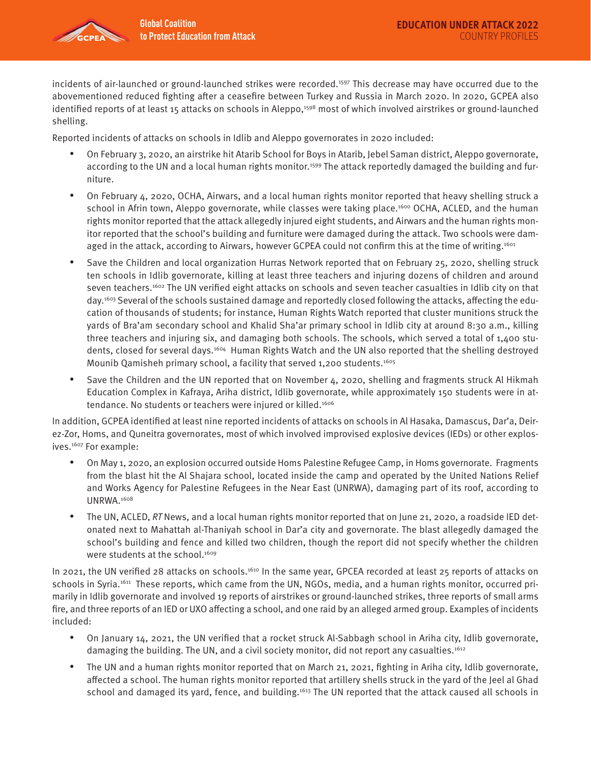

incidents of air-launched or ground-launched strikes were recorded.1597 This decrease may have occurred due to the abovementioned reduced fighting after a ceasefire between Turkey and Russia in March 2020. In 2020, GCPEA also identified reports of at least 15 attacks on schools in Aleppo,<sup>1598</sup> most of which involved airstrikes or ground-launched shelling.

Reported incidents of attacks on schools in Idlib and Aleppo governorates in 2020 included:

- On February 3, 2020, an airstrike hit Atarib School for Boys in Atarib, Jebel Saman district, Aleppo governorate, according to the UN and a local human rights monitor.<sup>1599</sup> The attack reportedly damaged the building and furniture.
- On February 4, 2020, OCHA, Airwars, and a local human rights monitor reported that heavy shelling struck a school in Afrin town, Aleppo governorate, while classes were taking place.<sup>1600</sup> OCHA, ACLED, and the human rights monitor reported that the attack allegedly injured eight students, and Airwars and the human rights monitor reported that the school's building and furniture were damaged during the attack. Two schools were damaged in the attack, according to Airwars, however GCPEA could not confirm this at the time of writing.<sup>1601</sup>
- Save the Children and local organization Hurras Network reported that on February 25, 2020, shelling struck ten schools in Idlib governorate, killing at least three teachers and injuring dozens of children and around seven teachers.1602 The UN verified eight attacks on schools and seven teacher casualties in Idlib city on that day.1603 Several of the schools sustained damage and reportedly closed following the attacks, affecting the education of thousands of students; for instance, Human Rights Watch reported that cluster munitions struck the yards of Bra'am secondary school and Khalid Sha'ar primary school in Idlib city at around 8:30 a.m., killing three teachers and injuring six, and damaging both schools. The schools, which served a total of 1,400 students, closed for several days.1604 Human Rights Watch and the UN also reported that the shelling destroyed Mounib Qamisheh primary school, a facility that served 1,200 students.<sup>1605</sup>
- Save the Children and the UN reported that on November 4, 2020, shelling and fragments struck Al Hikmah Education Complex in Kafraya, Ariha district, Idlib governorate, while approximately 150 students were in attendance. No students or teachers were injured or killed.<sup>1606</sup>

In addition, GCPEA identified at least nine reported incidents of attacks on schools in Al Hasaka, Damascus, Dar'a, Deirez-Zor, Homs, and Quneitra governorates, most of which involved improvised explosive devices (IEDs) or other explosives.<sup>1607</sup> For example:

- On May 1, 2020, an explosion occurred outside Homs Palestine Refugee Camp, in Homs governorate. Fragments from the blast hit the Al Shajara school, located inside the camp and operated by the United Nations Relief and Works Agency for Palestine Refugees in the Near East (UNRWA), damaging part of its roof, according to UNRWA.1608
- The UN, ACLED, RT News, and a local human rights monitor reported that on June 21, 2020, a roadside IED detonated next to Mahattah al-Thaniyah school in Dar'a city and governorate. The blast allegedly damaged the school's building and fence and killed two children, though the report did not specify whether the children were students at the school.<sup>1609</sup>

In 2021, the UN verified 28 attacks on schools.<sup>1610</sup> In the same year, GPCEA recorded at least 25 reports of attacks on schools in Syria.1611 These reports, which came from the UN, NGOs, media, and a human rights monitor, occurred primarily in Idlib governorate and involved 19 reports of airstrikes or ground-launched strikes, three reports of small arms fire, and three reports of an IED or UXO affecting a school, and one raid by an alleged armed group. Examples of incidents included:

- On January 14, 2021, the UN verified that a rocket struck Al-Sabbagh school in Ariha city, Idlib governorate, damaging the building. The UN, and a civil society monitor, did not report any casualties.<sup>1612</sup>
- The UN and a human rights monitor reported that on March 21, 2021, fighting in Ariha city, Idlib governorate, affected a school. The human rights monitor reported that artillery shells struck in the yard of the Jeel al Ghad school and damaged its yard, fence, and building.<sup>1613</sup> The UN reported that the attack caused all schools in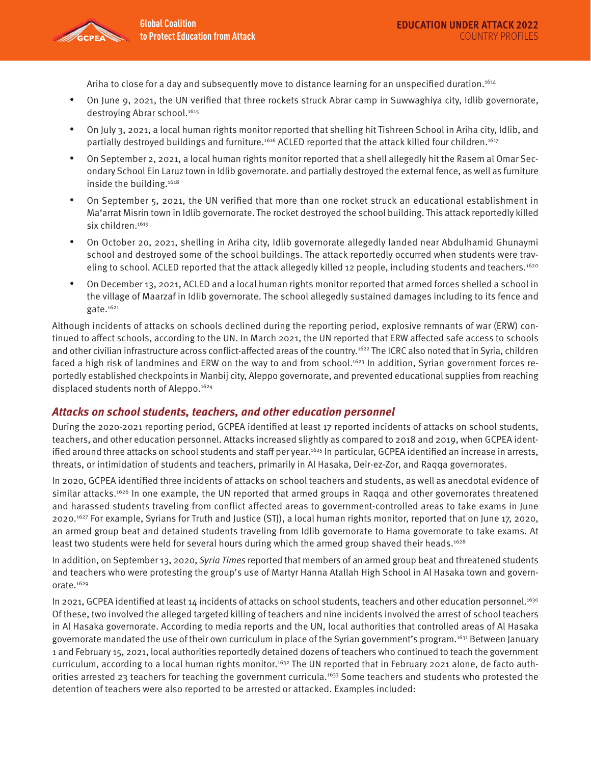

Ariha to close for a day and subsequently move to distance learning for an unspecified duration.1614

- On June 9, 2021, the UN verified that three rockets struck Abrar camp in Suwwaghiya city, Idlib governorate, destroying Abrar school.<sup>1615</sup>
- On July 3, 2021, a local human rights monitor reported that shelling hit Tishreen School in Ariha city, Idlib, and partially destroyed buildings and furniture.<sup>1616</sup> ACLED reported that the attack killed four children.<sup>1617</sup>
- On September 2, 2021, a local human rights monitor reported that a shell allegedly hit the Rasem al Omar Secondary School Ein Laruz town in Idlib governorate. and partially destroyed the external fence, as well as furniture inside the building.<sup>1618</sup>
- On September 5, 2021, the UN verified that more than one rocket struck an educational establishment in Ma'arrat Misrin town in Idlib governorate. The rocket destroyed the school building. This attack reportedly killed six children.<sup>1619</sup>
- On October 20, 2021, shelling in Ariha city, Idlib governorate allegedly landed near Abdulhamid Ghunaymi school and destroyed some of the school buildings. The attack reportedly occurred when students were traveling to school. ACLED reported that the attack allegedly killed 12 people, including students and teachers.<sup>1620</sup>
- On December 13, 2021, ACLED and a local human rights monitor reported that armed forces shelled a school in the village of Maarzaf in Idlib governorate. The school allegedly sustained damages including to its fence and gate.<sup>1621</sup>

Although incidents of attacks on schools declined during the reporting period, explosive remnants of war (ERW) continued to affect schools, according to the UN. In March 2021, the UN reported that ERW affected safe access to schools and other civilian infrastructure across conflict-affected areas of the country.<sup>1622</sup> The ICRC also noted that in Syria, children faced a high risk of landmines and ERW on the way to and from school.<sup>1623</sup> In addition, Syrian government forces reportedly established checkpoints in Manbij city, Aleppo governorate, and prevented educational supplies from reaching displaced students north of Aleppo.<sup>1624</sup>

### **Attacks on school students, teachers, and other education personnel**

During the 2020-2021 reporting period, GCPEA identified at least 17 reported incidents of attacks on school students, teachers, and other education personnel. Attacks increased slightly as compared to 2018 and 2019, when GCPEA identified around three attacks on school students and staff per year.1625 In particular, GCPEA identified an increase in arrests, threats, or intimidation of students and teachers, primarily in Al Hasaka, Deir-ez-Zor, and Raqqa governorates.

In 2020, GCPEA identified three incidents of attacks on school teachers and students, as well as anecdotal evidence of similar attacks.<sup>1626</sup> In one example, the UN reported that armed groups in Raqqa and other governorates threatened and harassed students traveling from conflict affected areas to government-controlled areas to take exams in June 2020.1627 For example, Syrians for Truth and Justice (STJ), a local human rights monitor, reported that on June 17, 2020, an armed group beat and detained students traveling from Idlib governorate to Hama governorate to take exams. At least two students were held for several hours during which the armed group shaved their heads.<sup>1628</sup>

In addition, on September 13, 2020, Syria Times reported that members of an armed group beat and threatened students and teachers who were protesting the group's use of Martyr Hanna Atallah High School in Al Hasaka town and governorate.1629

In 2021, GCPEA identified at least 14 incidents of attacks on school students, teachers and other education personnel.<sup>1630</sup> Of these, two involved the alleged targeted killing of teachers and nine incidents involved the arrest of school teachers in Al Hasaka governorate. According to media reports and the UN, local authorities that controlled areas of Al Hasaka governorate mandated the use of their own curriculum in place of the Syrian government's program.<sup>1631</sup> Between January 1 and February 15, 2021, local authorities reportedly detained dozens of teachers who continued to teach the government curriculum, according to a local human rights monitor.1632 The UN reported that in February 2021 alone, de facto authorities arrested 23 teachers for teaching the government curricula.1633 Some teachers and students who protested the detention of teachers were also reported to be arrested or attacked. Examples included: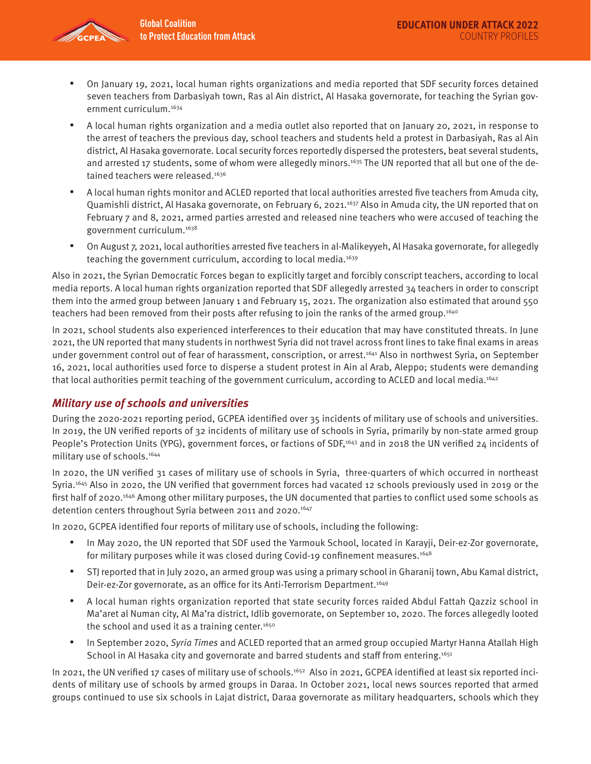

- On January 19, 2021, local human rights organizations and media reported that SDF security forces detained seven teachers from Darbasiyah town, Ras al Ain district, Al Hasaka governorate, for teaching the Syrian government curriculum.1634
- A local human rights organization and a media outlet also reported that on January 20, 2021, in response to the arrest of teachers the previous day, school teachers and students held a protest in Darbasiyah, Ras al Ain district, Al Hasaka governorate. Local security forces reportedly dispersed the protesters, beat several students, and arrested 17 students, some of whom were allegedly minors.<sup>1635</sup> The UN reported that all but one of the detained teachers were released.<sup>1636</sup>
- A local human rights monitor and ACLED reported that local authorities arrested five teachers from Amuda city, Quamishli district, Al Hasaka governorate, on February 6, 2021.<sup>1637</sup> Also in Amuda city, the UN reported that on February 7 and 8, 2021, armed parties arrested and released nine teachers who were accused of teaching the government curriculum.1638
- On August 7, 2021, local authorities arrested five teachers in al-Malikeyyeh, Al Hasaka governorate, for allegedly teaching the government curriculum, according to local media.<sup>1639</sup>

Also in 2021, the Syrian Democratic Forces began to explicitly target and forcibly conscript teachers, according to local media reports. A local human rights organization reported that SDF allegedly arrested 34 teachers in order to conscript them into the armed group between January 1 and February 15, 2021. The organization also estimated that around 550 teachers had been removed from their posts after refusing to join the ranks of the armed group.<sup>1640</sup>

In 2021, school students also experienced interferences to their education that may have constituted threats. In June 2021, the UN reported that many students in northwest Syria did not travel across front lines to take final exams in areas under government control out of fear of harassment, conscription, or arrest.<sup>1641</sup> Also in northwest Syria, on September 16, 2021, local authorities used force to disperse a student protest in Ain al Arab, Aleppo; students were demanding that local authorities permit teaching of the government curriculum, according to ACLED and local media.<sup>1642</sup>

# **Military use of schools and universities**

During the 2020-2021 reporting period, GCPEA identified over 35 incidents of military use of schools and universities. In 2019, the UN verified reports of 32 incidents of military use of schools in Syria, primarily by non-state armed group People's Protection Units (YPG), government forces, or factions of SDF,<sup>1643</sup> and in 2018 the UN verified 24 incidents of military use of schools.1644

In 2020, the UN verified 31 cases of military use of schools in Syria, three-quarters of which occurred in northeast Syria.1645 Also in 2020, the UN verified that government forces had vacated 12 schools previously used in 2019 or the first half of 2020.<sup>1646</sup> Among other military purposes, the UN documented that parties to conflict used some schools as detention centers throughout Syria between 2011 and 2020.<sup>1647</sup>

In 2020, GCPEA identified four reports of military use of schools, including the following:

- In May 2020, the UN reported that SDF used the Yarmouk School, located in Karayji, Deir-ez-Zor governorate, for military purposes while it was closed during Covid-19 confinement measures.<sup>1648</sup>
- STJ reported that in July 2020, an armed group was using a primary school in Gharanij town, Abu Kamal district, Deir-ez-Zor governorate, as an office for its Anti-Terrorism Department.<sup>1649</sup>
- A local human rights organization reported that state security forces raided Abdul Fattah Qazziz school in Ma'aret al Numan city, Al Ma'ra district, Idlib governorate, on September 10, 2020. The forces allegedly looted the school and used it as a training center. $1650$
- In September 2020, Syria Times and ACLED reported that an armed group occupied Martyr Hanna Atallah High School in Al Hasaka city and governorate and barred students and staff from entering.<sup>1651</sup>

In 2021, the UN verified 17 cases of military use of schools.<sup>1652</sup> Also in 2021, GCPEA identified at least six reported incidents of military use of schools by armed groups in Daraa. In October 2021, local news sources reported that armed groups continued to use six schools in Lajat district, Daraa governorate as military headquarters, schools which they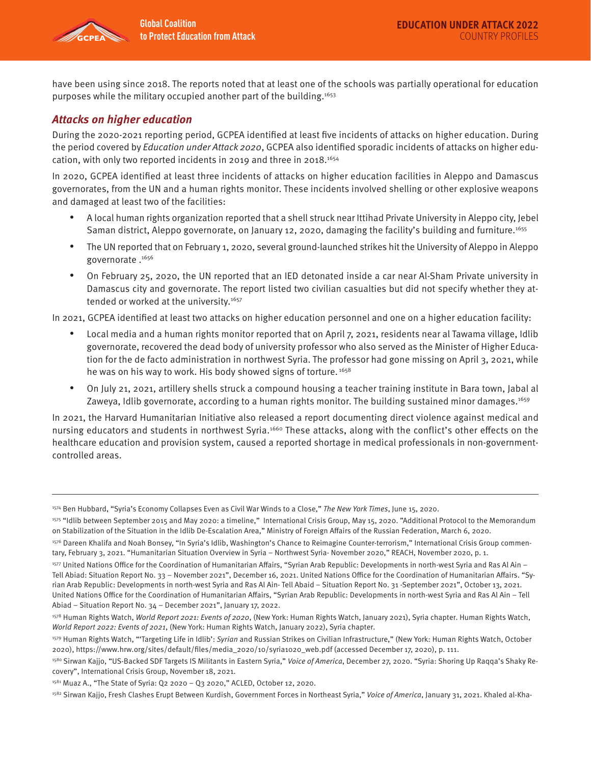

have been using since 2018. The reports noted that at least one of the schools was partially operational for education purposes while the military occupied another part of the building.1653

### **Attacks on higher education**

During the 2020-2021 reporting period, GCPEA identified at least five incidents of attacks on higher education. During the period covered by Education under Attack 2020, GCPEA also identified sporadic incidents of attacks on higher education, with only two reported incidents in 2019 and three in 2018.1654

In 2020, GCPEA identified at least three incidents of attacks on higher education facilities in Aleppo and Damascus governorates, from the UN and a human rights monitor. These incidents involved shelling or other explosive weapons and damaged at least two of the facilities:

- A local human rights organization reported that a shell struck near Ittihad Private University in Aleppo city, Jebel Saman district, Aleppo governorate, on January 12, 2020, damaging the facility's building and furniture.<sup>1655</sup>
- The UN reported that on February 1, 2020, several ground-launched strikes hit the University of Aleppo in Aleppo governorate.<sup>1656</sup>
- On February 25, 2020, the UN reported that an IED detonated inside a car near Al-Sham Private university in Damascus city and governorate. The report listed two civilian casualties but did not specify whether they attended or worked at the university.<sup>1657</sup>

In 2021, GCPEA identified at least two attacks on higher education personnel and one on a higher education facility:

- Local media and a human rights monitor reported that on April 7, 2021, residents near al Tawama village, Idlib governorate, recovered the dead body of university professor who also served as the Minister of Higher Education for the de facto administration in northwest Syria. The professor had gone missing on April 3, 2021, while he was on his way to work. His body showed signs of torture.<sup>1658</sup>
- On July 21, 2021, artillery shells struck a compound housing a teacher training institute in Bara town, Jabal al Zaweya, Idlib governorate, according to a human rights monitor. The building sustained minor damages.<sup>1659</sup>

In 2021, the Harvard Humanitarian Initiative also released a report documenting direct violence against medical and nursing educators and students in northwest Syria.1660 These attacks, along with the conflict's other effects on the healthcare education and provision system, caused a reported shortage in medical professionals in non-governmentcontrolled areas.

<sup>1574</sup> Ben Hubbard, "Syria's Economy Collapses Even as Civil War Winds to a Close," The New York Times, June 15, 2020.

<sup>1575 &</sup>quot;Idlib between September 2015 and May 2020: a timeline," International Crisis Group, May 15, 2020. "Additional Protocol to the Memorandum on Stabilization of the Situation in the Idlib De-Escalation Area," Ministry of Foreign Affairs of the Russian Federation, March 6, 2020.

<sup>1576</sup> Dareen Khalifa and Noah Bonsey, "In Syria's Idlib, Washington's Chance to Reimagine Counter-terrorism," International Crisis Group commentary, February 3, 2021. "Humanitarian Situation Overview in Syria – Northwest Syria- November 2020," REACH, November 2020, p. 1.

<sup>1577</sup> United Nations Office for the Coordination of Humanitarian Affairs, "Syrian Arab Republic: Developments in north-west Syria and Ras Al Ain – Tell Abiad: Situation Report No. 33 – November 2021", December 16, 2021. United Nations Office for the Coordination of Humanitarian Affairs. "Syrian Arab Republic: Developments in north-west Syria and Ras Al Ain- Tell Abaid – Situation Report No. 31 -September 2021", October 13, 2021. United Nations Office for the Coordination of Humanitarian Affairs, "Syrian Arab Republic: Developments in north-west Syria and Ras Al Ain – Tell Abiad – Situation Report No. 34 – December 2021", January 17, 2022.

<sup>1578</sup> Human Rights Watch, World Report 2021: Events of 2020, (New York: Human Rights Watch, January 2021), Syria chapter. Human Rights Watch, World Report 2022: Events of 2021, (New York: Human Rights Watch, January 2022), Syria chapter.

<sup>1579</sup> Human Rights Watch, "Targeting Life in Idlib': Syrian and Russian Strikes on Civilian Infrastructure," (New York: Human Rights Watch, October 2020), https://www.hrw.org/sites/default/files/media\_2020/10/syria1020\_web.pdf (accessed December 17, 2020), p. 111.

<sup>1580</sup> Sirwan Kajjo, "US-Backed SDF Targets IS Militants in Eastern Syria," Voice of America, December 27, 2020. "Syria: Shoring Up Raqqa's Shaky Recovery", International Crisis Group, November 18, 2021.

<sup>1581</sup> Muaz A., "The State of Syria: Q2 2020 - Q3 2020," ACLED, October 12, 2020.

<sup>&</sup>lt;sup>1582</sup> Sirwan Kajjo, Fresh Clashes Erupt Between Kurdish, Government Forces in Northeast Syria," Voice of America, January 31, 2021. Khaled al-Kha-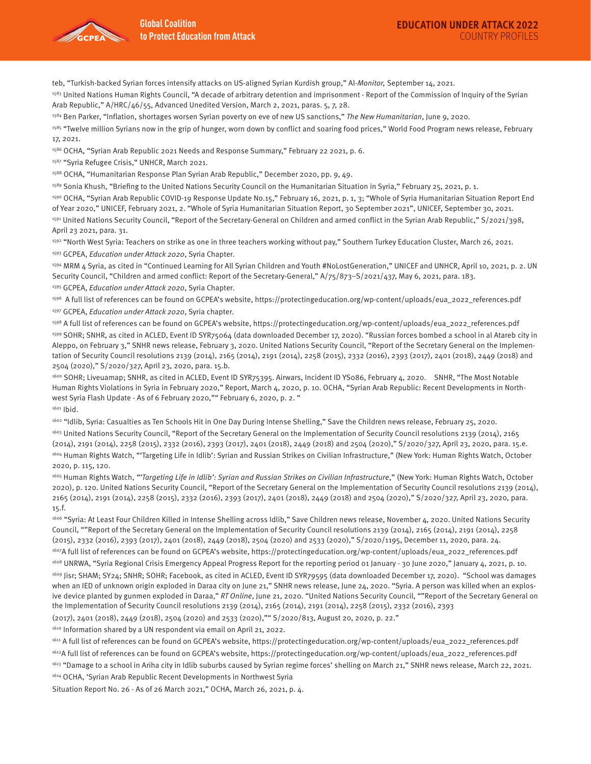

teb, "Turkish-backed Syrian forces intensify attacks on US-aligned Syrian Kurdish group," Al-Monitor, September 14, 2021.

<sup>1583</sup> United Nations Human Rights Council, "A decade of arbitrary detention and imprisonment - Report of the Commission of Inquiry of the Syrian Arab Republic," A/HRC/46/55, Advanced Unedited Version, March 2, 2021, paras. 5, 7, 28.

1584 Ben Parker, "Inflation, shortages worsen Syrian poverty on eve of new US sanctions," The New Humanitarian, June 9, 2020.

<sup>1585</sup> "Twelve million Syrians now in the grip of hunger, worn down by conflict and soaring food prices," World Food Program news release, February 17, 2021.

1586 OCHA, "Syrian Arab Republic 2021 Needs and Response Summary," February 22 2021, p. 6.

1587 "Syria Refugee Crisis," UNHCR, March 2021.

1588 OCHA, "Humanitarian Response Plan Syrian Arab Republic," December 2020, pp. 9, 49.

1589 Sonia Khush, "Briefing to the United Nations Security Council on the Humanitarian Situation in Syria," February 25, 2021, p. 1.

1590 OCHA, "Syrian Arab Republic COVID-19 Response Update No.15," February 16, 2021, p. 1, 3; "Whole of Syria Humanitarian Situation Report End of Year 2020," UNICEF, February 2021, 2. "Whole of Syria Humanitarian Situation Report, 30 September 2021", UNICEF, September 30, 2021. 1591 United Nations Security Council, "Report of the Secretary-General on Children and armed conflict in the Syrian Arab Republic," S/2021/398, April 23 2021, para. 31.

1592 "North West Syria: Teachers on strike as one in three teachers working without pay," Southern Turkey Education Cluster, March 26, 2021. 1593 GCPEA, Education under Attack 2020, Syria Chapter.

1594 MRM 4 Syria, as cited in "Continued Learning for All Syrian Children and Youth #NoLostGeneration," UNICEF and UNHCR, April 10, 2021, p. 2. UN Security Council, "Children and armed conflict: Report of the Secretary-General," A/75/873–S/2021/437, May 6, 2021, para. 183.

1595 GCPEA, Education under Attack 2020, Syria Chapter.

1596 A full list of references can be found on GCPEA's website, https://protectingeducation.org/wp-content/uploads/eua\_2022\_references.pdf 1597 GCPEA, Education under Attack 2020, Syria chapter.

1598 A full list of references can be found on GCPEA's website, https://protectingeducation.org/wp-content/uploads/eua\_2022\_references.pdf 1599 SOHR; SNHR, as cited in ACLED, Event ID SYR75064 (data downloaded December 17, 2020). "Russian forces bombed a school in al Atareb city in Aleppo, on February 3," SNHR news release, February 3, 2020. United Nations Security Council, "Report of the Secretary General on the Implementation of Security Council resolutions 2139 (2014), 2165 (2014), 2191 (2014), 2258 (2015), 2332 (2016), 2393 (2017), 2401 (2018), 2449 (2018) and 2504 (2020)," S/2020/327, April 23, 2020, para. 15.b.

1600 SOHR; Liveuamap; SNHR, as cited in ACLED, Event ID SYR75395. Airwars, Incident ID YS086, February 4, 2020. SNHR, "The Most Notable Human Rights Violations in Syria in February 2020," Report, March 4, 2020, p. 10. OCHA, "Syrian Arab Republic: Recent Developments in Northwest Syria Flash Update - As of 6 February 2020,"" February 6, 2020, p. 2. " 1601 Ibid.

1602 "Idlib, Syria: Casualties as Ten Schools Hit in One Day During Intense Shelling," Save the Children news release, February 25, 2020.

<sup>1603</sup> United Nations Security Council, "Report of the Secretary General on the Implementation of Security Council resolutions 2139 (2014), 2165 (2014), 2191 (2014), 2258 (2015), 2332 (2016), 2393 (2017), 2401 (2018), 2449 (2018) and 2504 (2020)," S/2020/327, April 23, 2020, para. 15.e. 1604 Human Rights Watch, "'Targeting Life in Idlib': Syrian and Russian Strikes on Civilian Infrastructure," (New York: Human Rights Watch, October 2020, p. 115, 120.

1605 Human Rights Watch, "Targeting Life in Idlib': Syrian and Russian Strikes on Civilian Infrastructure," (New York: Human Rights Watch, October 2020), p. 120. United Nations Security Council, "Report of the Secretary General on the Implementation of Security Council resolutions 2139 (2014), 2165 (2014), 2191 (2014), 2258 (2015), 2332 (2016), 2393 (2017), 2401 (2018), 2449 (2018) and 2504 (2020)," S/2020/327, April 23, 2020, para. 15.f.

1606 "Syria: At Least Four Children Killed in Intense Shelling across Idlib," Save Children news release, November 4, 2020. United Nations Security Council, ""Report of the Secretary General on the Implementation of Security Council resolutions 2139 (2014), 2165 (2014), 2191 (2014), 2258 (2015), 2332 (2016), 2393 (2017), 2401 (2018), 2449 (2018), 2504 (2020) and 2533 (2020)," S/2020/1195, December 11, 2020, para. 24. 1607A full list of references can be found on GCPEA's website, https://protectingeducation.org/wp-content/uploads/eua\_2022\_references.pdf

1608 UNRWA, "Syria Regional Crisis Emergency Appeal Progress Report for the reporting period 01 January - 30 June 2020," January 4, 2021, p. 10. 1609 Jisr; SHAM; SY24; SNHR; SOHR; Facebook, as cited in ACLED, Event ID SYR79595 (data downloaded December 17, 2020). "School was damages when an IED of unknown origin exploded in Daraa city on June 21," SNHR news release, June 24, 2020. "Syria. A person was killed when an explosive device planted by gunmen exploded in Daraa," RT Online, June 21, 2020. "United Nations Security Council, ""Report of the Secretary General on the Implementation of Security Council resolutions 2139 (2014), 2165 (2014), 2191 (2014), 2258 (2015), 2332 (2016), 2393

(2017), 2401 (2018), 2449 (2018), 2504 (2020) and 2533 (2020),"" S/2020/813, August 20, 2020, p. 22."

1610 Information shared by a UN respondent via email on April 21, 2022.

1611 A full list of references can be found on GCPEA's website, https://protectingeducation.org/wp-content/uploads/eua\_2022\_references.pdf

1612A full list of references can be found on GCPEA's website, https://protectingeducation.org/wp-content/uploads/eua\_2022\_references.pdf

<sup>1613</sup> "Damage to a school in Ariha city in Idlib suburbs caused by Syrian regime forces' shelling on March 21," SNHR news release, March 22, 2021.

1614 OCHA, 'Syrian Arab Republic Recent Developments in Northwest Syria

Situation Report No. 26 - As of 26 March 2021," OCHA, March 26, 2021, p. 4.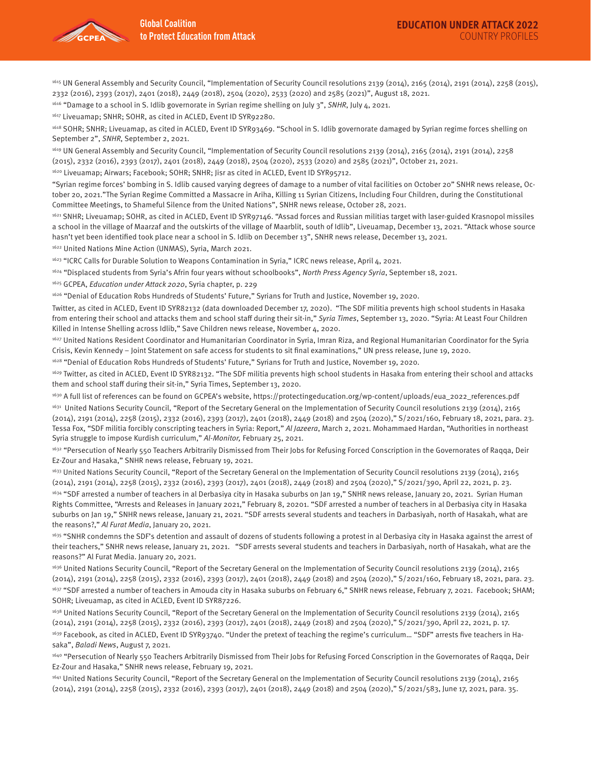

1615 UN General Assembly and Security Council, "Implementation of Security Council resolutions 2139 (2014), 2165 (2014), 2191 (2014), 2258 (2015), 2332 (2016), 2393 (2017), 2401 (2018), 2449 (2018), 2504 (2020), 2533 (2020) and 2585 (2021)", August 18, 2021.

<sup>1616</sup> "Damage to a school in S. Idlib governorate in Syrian regime shelling on July 3", SNHR, July 4, 2021.

1617 Liveuamap; SNHR; SOHR, as cited in ACLED, Event ID SYR92280.

1618 SOHR; SNHR; Liveuamap, as cited in ACLED, Event ID SYR93469. "School in S. Idlib governorate damaged by Syrian regime forces shelling on September 2", SNHR, September 2, 2021.

1619 UN General Assembly and Security Council, "Implementation of Security Council resolutions 2139 (2014), 2165 (2014), 2191 (2014), 2258 (2015), 2332 (2016), 2393 (2017), 2401 (2018), 2449 (2018), 2504 (2020), 2533 (2020) and 2585 (2021)", October 21, 2021.

1620 Liveuamap; Airwars; Facebook; SOHR; SNHR; Jisr as cited in ACLED, Event ID SYR95712.

"Syrian regime forces' bombing in S. Idlib caused varying degrees of damage to a number of vital facilities on October 20" SNHR news release, October 20, 2021."The Syrian Regime Committed a Massacre in Ariha, Killing 11 Syrian Citizens, Including Four Children, during the Constitutional Committee Meetings, to Shameful Silence from the United Nations", SNHR news release, October 28, 2021.

1621 SNHR; Liveuamap; SOHR, as cited in ACLED, Event ID SYR97146. "Assad forces and Russian militias target with laser-guided Krasnopol missiles a school in the village of Maarzaf and the outskirts of the village of Maarblit, south of Idlib", Liveuamap, December 13, 2021. "Attack whose source hasn't yet been identified took place near a school in S. Idlib on December 13", SNHR news release, December 13, 2021.

1622 United Nations Mine Action (UNMAS), Syria, March 2021.

1623 "ICRC Calls for Durable Solution to Weapons Contamination in Syria," ICRC news release, April 4, 2021.

<sup>1624</sup> "Displaced students from Syria's Afrin four years without schoolbooks", North Press Agency Syria, September 18, 2021.

1625 GCPEA, Education under Attack 2020, Syria chapter, p. 229

1626 "Denial of Education Robs Hundreds of Students' Future," Syrians for Truth and Justice, November 19, 2020.

Twitter, as cited in ACLED, Event ID SYR82132 (data downloaded December 17, 2020). "The SDF militia prevents high school students in Hasaka from entering their school and attacks them and school staff during their sit-in," Syria Times, September 13, 2020. "Syria: At Least Four Children Killed in Intense Shelling across Idlib," Save Children news release, November 4, 2020.

1627 United Nations Resident Coordinator and Humanitarian Coordinator in Syria, Imran Riza, and Regional Humanitarian Coordinator for the Syria Crisis, Kevin Kennedy – Joint Statement on safe access for students to sit final examinations," UN press release, June 19, 2020.

1628 "Denial of Education Robs Hundreds of Students' Future," Syrians for Truth and Justice, November 19, 2020.

<sup>1629</sup> Twitter, as cited in ACLED, Event ID SYR82132. "The SDF militia prevents high school students in Hasaka from entering their school and attacks them and school staff during their sit-in," Syria Times, September 13, 2020.

1630 A full list of references can be found on GCPEA's website, https://protectingeducation.org/wp-content/uploads/eua\_2022\_references.pdf

1631 United Nations Security Council, "Report of the Secretary General on the Implementation of Security Council resolutions 2139 (2014), 2165 (2014), 2191 (2014), 2258 (2015), 2332 (2016), 2393 (2017), 2401 (2018), 2449 (2018) and 2504 (2020)," S/2021/160, February 18, 2021, para. 23. Tessa Fox, "SDF militia forcibly conscripting teachers in Syria: Report," Al Jazeera, March 2, 2021. Mohammaed Hardan, "Authorities in northeast Syria struggle to impose Kurdish curriculum," Al-Monitor, February 25, 2021.

1632 "Persecution of Nearly 550 Teachers Arbitrarily Dismissed from Their Jobs for Refusing Forced Conscription in the Governorates of Raqqa, Deir Ez-Zour and Hasaka," SNHR news release, February 19, 2021.

<sup>1633</sup> United Nations Security Council, "Report of the Secretary General on the Implementation of Security Council resolutions 2139 (2014), 2165 (2014), 2191 (2014), 2258 (2015), 2332 (2016), 2393 (2017), 2401 (2018), 2449 (2018) and 2504 (2020)," S/2021/390, April 22, 2021, p. 23.

1634 "SDF arrested a number of teachers in al Derbasiya city in Hasaka suburbs on Jan 19," SNHR news release, January 20, 2021. Syrian Human Rights Committee, "Arrests and Releases in January 2021," February 8, 20201. "SDF arrested a number of teachers in al Derbasiya city in Hasaka suburbs on Jan 19," SNHR news release, January 21, 2021. "SDF arrests several students and teachers in Darbasiyah, north of Hasakah, what are the reasons?," Al Furat Media, January 20, 2021.

1635 "SNHR condemns the SDF's detention and assault of dozens of students following a protest in al Derbasiya city in Hasaka against the arrest of their teachers," SNHR news release, January 21, 2021. "SDF arrests several students and teachers in Darbasiyah, north of Hasakah, what are the reasons?" Al Furat Media. January 20, 2021.

1636 United Nations Security Council, "Report of the Secretary General on the Implementation of Security Council resolutions 2139 (2014), 2165 (2014), 2191 (2014), 2258 (2015), 2332 (2016), 2393 (2017), 2401 (2018), 2449 (2018) and 2504 (2020)," S/2021/160, February 18, 2021, para. 23. <sup>1637</sup> "SDF arrested a number of teachers in Amouda city in Hasaka suburbs on February 6," SNHR news release, February 7, 2021. Facebook; SHAM; SOHR; Liveuamap, as cited in ACLED, Event ID SYR87226.

1638 United Nations Security Council, "Report of the Secretary General on the Implementation of Security Council resolutions 2139 (2014), 2165 (2014), 2191 (2014), 2258 (2015), 2332 (2016), 2393 (2017), 2401 (2018), 2449 (2018) and 2504 (2020)," S/2021/390, April 22, 2021, p. 17. <sup>1639</sup> Facebook, as cited in ACLED, Event ID SYR93740. "Under the pretext of teaching the regime's curriculum... "SDF" arrests five teachers in Hasaka", Baladi News, August 7, 2021.

1640 "Persecution of Nearly 550 Teachers Arbitrarily Dismissed from Their Jobs for Refusing Forced Conscription in the Governorates of Raqqa, Deir Ez-Zour and Hasaka," SNHR news release, February 19, 2021.

1641 United Nations Security Council, "Report of the Secretary General on the Implementation of Security Council resolutions 2139 (2014), 2165 (2014), 2191 (2014), 2258 (2015), 2332 (2016), 2393 (2017), 2401 (2018), 2449 (2018) and 2504 (2020)," S/2021/583, June 17, 2021, para. 35.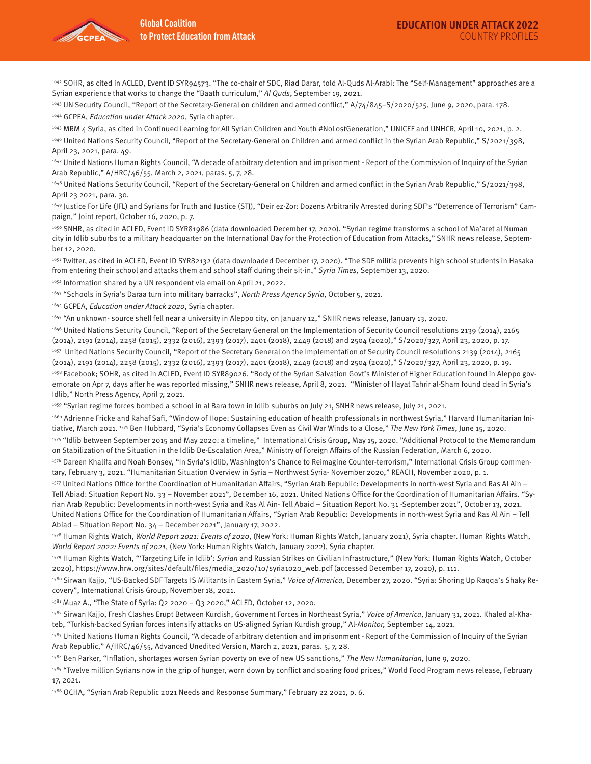

1642 SOHR, as cited in ACLED, Event ID SYR94573. "The co-chair of SDC, Riad Darar, told Al-Quds Al-Arabi: The "Self-Management" approaches are a Syrian experience that works to change the "Baath curriculum," Al Quds, September 19, 2021.

<sup>1643</sup> UN Security Council, "Report of the Secretary-General on children and armed conflict," A/74/845-S/2020/525, June 9, 2020, para. 178. 1644 GCPEA, Education under Attack 2020, Syria chapter.

1645 MRM 4 Syria, as cited in Continued Learning for All Syrian Children and Youth #NoLostGeneration," UNICEF and UNHCR, April 10, 2021, p. 2. 1646 United Nations Security Council, "Report of the Secretary-General on Children and armed conflict in the Syrian Arab Republic," S/2021/398, April 23, 2021, para. 49.

<sup>1647</sup> United Nations Human Rights Council, "A decade of arbitrary detention and imprisonment - Report of the Commission of Inquiry of the Syrian Arab Republic," A/HRC/46/55, March 2, 2021, paras. 5, 7, 28.

1648 United Nations Security Council, "Report of the Secretary-General on Children and armed conflict in the Syrian Arab Republic," S/2021/398, April 23 2021, para. 30.

<sup>1649</sup> Justice For Life (JFL) and Syrians for Truth and Justice (STJ), "Deir ez-Zor: Dozens Arbitrarily Arrested during SDF's "Deterrence of Terrorism" Campaign," Joint report, October 16, 2020, p. 7.

1650 SNHR, as cited in ACLED, Event ID SYR81986 (data downloaded December 17, 2020). "Syrian regime transforms a school of Ma'aret al Numan city in Idlib suburbs to a military headquarter on the International Day for the Protection of Education from Attacks," SNHR news release, September 12, 2020.

1651 Twitter, as cited in ACLED, Event ID SYR82132 (data downloaded December 17, 2020). "The SDF militia prevents high school students in Hasaka from entering their school and attacks them and school staff during their sit-in," Syria Times, September 13, 2020.

1652 Information shared by a UN respondent via email on April 21, 2022.

<sup>1653</sup> "Schools in Syria's Daraa turn into military barracks", North Press Agency Syria, October 5, 2021.

1654 GCPEA, Education under Attack 2020, Syria chapter.

1655 "An unknown- source shell fell near a university in Aleppo city, on January 12," SNHR news release, January 13, 2020.

1656 United Nations Security Council, "Report of the Secretary General on the Implementation of Security Council resolutions 2139 (2014), 2165 (2014), 2191 (2014), 2258 (2015), 2332 (2016), 2393 (2017), 2401 (2018), 2449 (2018) and 2504 (2020)," S/2020/327, April 23, 2020, p. 17. 1657 United Nations Security Council, "Report of the Secretary General on the Implementation of Security Council resolutions 2139 (2014), 2165 (2014), 2191 (2014), 2258 (2015), 2332 (2016), 2393 (2017), 2401 (2018), 2449 (2018) and 2504 (2020)," S/2020/327, April 23, 2020, p. 19. 1658 Facebook; SOHR, as cited in ACLED, Event ID SYR89026. "Body of the Syrian Salvation Govt's Minister of Higher Education found in Aleppo governorate on Apr 7, days after he was reported missing," SNHR news release, April 8, 2021. "Minister of Hayat Tahrir al-Sham found dead in Syria's

Idlib," North Press Agency, April 7, 2021.

1659 "Syrian regime forces bombed a school in al Bara town in Idlib suburbs on July 21, SNHR news release, July 21, 2021.

1660 Adrienne Fricke and Rahaf Safi, "Window of Hope: Sustaining education of health professionals in northwest Syria," Harvard Humanitarian Initiative, March 2021. <sup>1574</sup> Ben Hubbard, "Syria's Economy Collapses Even as Civil War Winds to a Close," The New York Times, June 15, 2020.

1575 "Idlib between September 2015 and May 2020: a timeline," International Crisis Group, May 15, 2020. "Additional Protocol to the Memorandum on Stabilization of the Situation in the Idlib De-Escalation Area," Ministry of Foreign Affairs of the Russian Federation, March 6, 2020.

1576 Dareen Khalifa and Noah Bonsey, "In Syria's Idlib, Washington's Chance to Reimagine Counter-terrorism," International Crisis Group commentary, February 3, 2021. "Humanitarian Situation Overview in Syria – Northwest Syria- November 2020," REACH, November 2020, p. 1.

1577 United Nations Office for the Coordination of Humanitarian Affairs, "Syrian Arab Republic: Developments in north-west Syria and Ras Al Ain – Tell Abiad: Situation Report No. 33 – November 2021", December 16, 2021. United Nations Office for the Coordination of Humanitarian Affairs. "Syrian Arab Republic: Developments in north-west Syria and Ras Al Ain- Tell Abaid – Situation Report No. 31 -September 2021", October 13, 2021. United Nations Office for the Coordination of Humanitarian Affairs, "Syrian Arab Republic: Developments in north-west Syria and Ras Al Ain – Tell Abiad – Situation Report No. 34 – December 2021", January 17, 2022.

1578 Human Rights Watch, World Report 2021: Events of 2020, (New York: Human Rights Watch, January 2021), Syria chapter. Human Rights Watch, World Report 2022: Events of 2021, (New York: Human Rights Watch, January 2022), Syria chapter.

1579 Human Rights Watch, "Targeting Life in Idlib': Syrian and Russian Strikes on Civilian Infrastructure," (New York: Human Rights Watch, October 2020), https://www.hrw.org/sites/default/files/media\_2020/10/syria1020\_web.pdf (accessed December 17, 2020), p. 111.

<sup>1580</sup> Sirwan Kajjo, "US-Backed SDF Targets IS Militants in Eastern Syria," Voice of America, December 27, 2020. "Syria: Shoring Up Raqqa's Shaky Recovery", International Crisis Group, November 18, 2021.

 $1581$  Muaz A., "The State of Syria: Q2 2020 - Q3 2020," ACLED, October 12, 2020.

<sup>1582</sup> Sirwan Kajjo, Fresh Clashes Erupt Between Kurdish, Government Forces in Northeast Syria," Voice of America, January 31, 2021. Khaled al-Khateb, "Turkish-backed Syrian forces intensify attacks on US-aligned Syrian Kurdish group," Al-Monitor, September 14, 2021.

1583 United Nations Human Rights Council, "A decade of arbitrary detention and imprisonment - Report of the Commission of Inquiry of the Syrian Arab Republic," A/HRC/46/55, Advanced Unedited Version, March 2, 2021, paras. 5, 7, 28.

1584 Ben Parker, "Inflation, shortages worsen Syrian poverty on eve of new US sanctions," The New Humanitarian, June 9, 2020.

<sup>1585</sup> "Twelve million Syrians now in the grip of hunger, worn down by conflict and soaring food prices," World Food Program news release, February 17, 2021.

1586 OCHA, "Syrian Arab Republic 2021 Needs and Response Summary," February 22 2021, p. 6.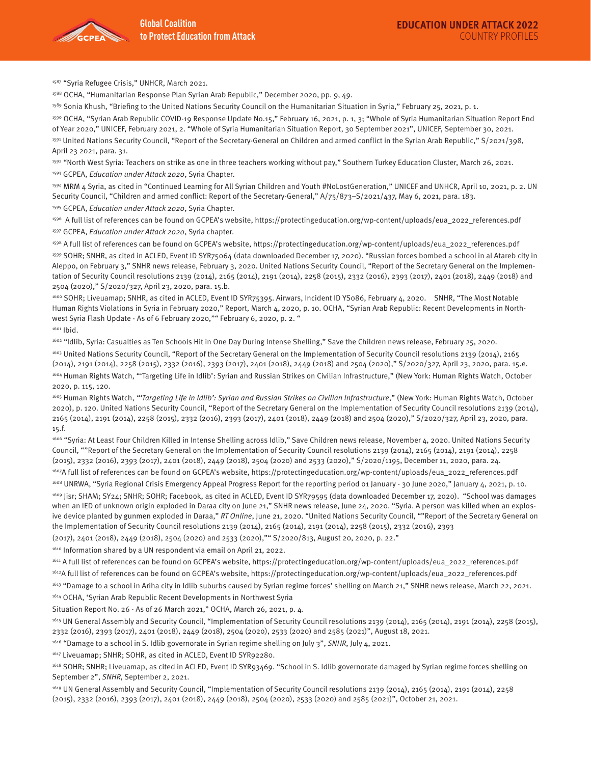

1587 "Syria Refugee Crisis," UNHCR, March 2021.

1588 OCHA, "Humanitarian Response Plan Syrian Arab Republic," December 2020, pp. 9, 49.

1589 Sonia Khush, "Briefing to the United Nations Security Council on the Humanitarian Situation in Syria," February 25, 2021, p. 1.

1590 OCHA, "Syrian Arab Republic COVID-19 Response Update No.15," February 16, 2021, p. 1, 3; "Whole of Syria Humanitarian Situation Report End of Year 2020," UNICEF, February 2021, 2. "Whole of Syria Humanitarian Situation Report, 30 September 2021", UNICEF, September 30, 2021. 1591 United Nations Security Council, "Report of the Secretary-General on Children and armed conflict in the Syrian Arab Republic," S/2021/398, April 23 2021, para. 31.

1592 "North West Syria: Teachers on strike as one in three teachers working without pay," Southern Turkey Education Cluster, March 26, 2021. 1593 GCPEA, Education under Attack 2020, Syria Chapter.

1594 MRM 4 Syria, as cited in "Continued Learning for All Syrian Children and Youth #NoLostGeneration," UNICEF and UNHCR, April 10, 2021, p. 2. UN Security Council, "Children and armed conflict: Report of the Secretary-General," A/75/873–S/2021/437, May 6, 2021, para. 183. 1595 GCPEA, Education under Attack 2020, Syria Chapter.

1596 A full list of references can be found on GCPEA's website, https://protectingeducation.org/wp-content/uploads/eua\_2022\_references.pdf 1597 GCPEA, Education under Attack 2020, Syria chapter.

1598 A full list of references can be found on GCPEA's website, https://protectingeducation.org/wp-content/uploads/eua\_2022\_references.pdf 1599 SOHR; SNHR, as cited in ACLED, Event ID SYR75064 (data downloaded December 17, 2020). "Russian forces bombed a school in al Atareb city in Aleppo, on February 3," SNHR news release, February 3, 2020. United Nations Security Council, "Report of the Secretary General on the Implementation of Security Council resolutions 2139 (2014), 2165 (2014), 2191 (2014), 2258 (2015), 2332 (2016), 2393 (2017), 2401 (2018), 2449 (2018) and 2504 (2020)," S/2020/327, April 23, 2020, para. 15.b.

1600 SOHR; Liveuamap; SNHR, as cited in ACLED, Event ID SYR75395. Airwars, Incident ID YS086, February 4, 2020. SNHR, "The Most Notable Human Rights Violations in Syria in February 2020," Report, March 4, 2020, p. 10. OCHA, "Syrian Arab Republic: Recent Developments in Northwest Syria Flash Update - As of 6 February 2020,"" February 6, 2020, p. 2. "

1601 Ibid.

1602 "Idlib, Syria: Casualties as Ten Schools Hit in One Day During Intense Shelling," Save the Children news release, February 25, 2020.

<sup>1603</sup> United Nations Security Council, "Report of the Secretary General on the Implementation of Security Council resolutions 2139 (2014), 2165 (2014), 2191 (2014), 2258 (2015), 2332 (2016), 2393 (2017), 2401 (2018), 2449 (2018) and 2504 (2020)," S/2020/327, April 23, 2020, para. 15.e. 1604 Human Rights Watch, "'Targeting Life in Idlib': Syrian and Russian Strikes on Civilian Infrastructure," (New York: Human Rights Watch, October 2020, p. 115, 120.

1605 Human Rights Watch, "'Targeting Life in Idlib': Syrian and Russian Strikes on Civilian Infrastructure," (New York: Human Rights Watch, October 2020), p. 120. United Nations Security Council, "Report of the Secretary General on the Implementation of Security Council resolutions 2139 (2014), 2165 (2014), 2191 (2014), 2258 (2015), 2332 (2016), 2393 (2017), 2401 (2018), 2449 (2018) and 2504 (2020)," S/2020/327, April 23, 2020, para. 15.f.

1606 "Syria: At Least Four Children Killed in Intense Shelling across Idlib," Save Children news release, November 4, 2020. United Nations Security Council, ""Report of the Secretary General on the Implementation of Security Council resolutions 2139 (2014), 2165 (2014), 2191 (2014), 2258 (2015), 2332 (2016), 2393 (2017), 2401 (2018), 2449 (2018), 2504 (2020) and 2533 (2020)," S/2020/1195, December 11, 2020, para. 24. 1607A full list of references can be found on GCPEA's website, https://protectingeducation.org/wp-content/uploads/eua\_2022\_references.pdf

<sup>1608</sup> UNRWA, "Syria Regional Crisis Emergency Appeal Progress Report for the reporting period 01 January - 30 June 2020," January 4, 2021, p. 10. 1609 Jisr; SHAM; SY24; SNHR; SOHR; Facebook, as cited in ACLED, Event ID SYR79595 (data downloaded December 17, 2020). "School was damages when an IED of unknown origin exploded in Daraa city on June 21," SNHR news release, June 24, 2020. "Syria. A person was killed when an explosive device planted by gunmen exploded in Daraa," RT Online, June 21, 2020. "United Nations Security Council, ""Report of the Secretary General on the Implementation of Security Council resolutions 2139 (2014), 2165 (2014), 2191 (2014), 2258 (2015), 2332 (2016), 2393

(2017), 2401 (2018), 2449 (2018), 2504 (2020) and 2533 (2020),"" S/2020/813, August 20, 2020, p. 22."

1610 Information shared by a UN respondent via email on April 21, 2022.

1611 A full list of references can be found on GCPEA's website, https://protectingeducation.org/wp-content/uploads/eua\_2022\_references.pdf

1612A full list of references can be found on GCPEA's website, https://protectingeducation.org/wp-content/uploads/eua\_2022\_references.pdf

<sup>1613</sup> "Damage to a school in Ariha city in Idlib suburbs caused by Syrian regime forces' shelling on March 21," SNHR news release, March 22, 2021.

1614 OCHA, 'Syrian Arab Republic Recent Developments in Northwest Syria

Situation Report No. 26 - As of 26 March 2021," OCHA, March 26, 2021, p. 4.

1615 UN General Assembly and Security Council, "Implementation of Security Council resolutions 2139 (2014), 2165 (2014), 2191 (2014), 2258 (2015), 2332 (2016), 2393 (2017), 2401 (2018), 2449 (2018), 2504 (2020), 2533 (2020) and 2585 (2021)", August 18, 2021.

<sup>1616</sup> "Damage to a school in S. Idlib governorate in Syrian regime shelling on July 3", SNHR, July 4, 2021.

1617 Liveuamap; SNHR; SOHR, as cited in ACLED, Event ID SYR92280.

1618 SOHR; SNHR; Liveuamap, as cited in ACLED, Event ID SYR93469. "School in S. Idlib governorate damaged by Syrian regime forces shelling on September 2", SNHR, September 2, 2021.

1619 UN General Assembly and Security Council, "Implementation of Security Council resolutions 2139 (2014), 2165 (2014), 2191 (2014), 2258 (2015), 2332 (2016), 2393 (2017), 2401 (2018), 2449 (2018), 2504 (2020), 2533 (2020) and 2585 (2021)", October 21, 2021.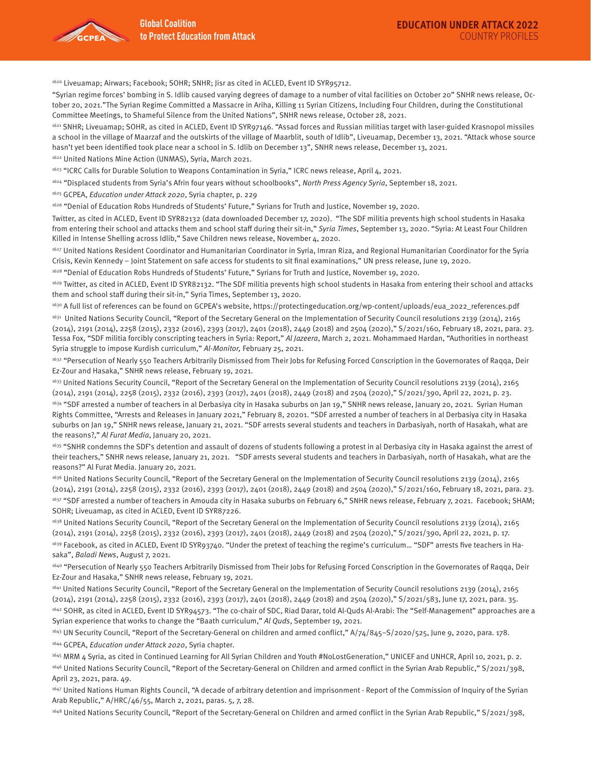1620 Liveuamap; Airwars; Facebook; SOHR; SNHR; Jisr as cited in ACLED, Event ID SYR95712.

"Syrian regime forces' bombing in S. Idlib caused varying degrees of damage to a number of vital facilities on October 20" SNHR news release, October 20, 2021."The Syrian Regime Committed a Massacre in Ariha, Killing 11 Syrian Citizens, Including Four Children, during the Constitutional Committee Meetings, to Shameful Silence from the United Nations", SNHR news release, October 28, 2021.

1621 SNHR; Liveuamap; SOHR, as cited in ACLED, Event ID SYR97146. "Assad forces and Russian militias target with laser-guided Krasnopol missiles a school in the village of Maarzaf and the outskirts of the village of Maarblit, south of Idlib", Liveuamap, December 13, 2021. "Attack whose source hasn't yet been identified took place near a school in S. Idlib on December 13", SNHR news release, December 13, 2021.

1622 United Nations Mine Action (UNMAS), Syria, March 2021.

1623 "ICRC Calls for Durable Solution to Weapons Contamination in Syria," ICRC news release, April 4, 2021.

<sup>1624</sup> "Displaced students from Syria's Afrin four years without schoolbooks", North Press Agency Syria, September 18, 2021.

1625 GCPEA, Education under Attack 2020, Syria chapter, p. 229

1626 "Denial of Education Robs Hundreds of Students' Future," Syrians for Truth and Justice, November 19, 2020.

Twitter, as cited in ACLED, Event ID SYR82132 (data downloaded December 17, 2020). "The SDF militia prevents high school students in Hasaka from entering their school and attacks them and school staff during their sit-in," Syria Times, September 13, 2020. "Syria: At Least Four Children Killed in Intense Shelling across Idlib," Save Children news release, November 4, 2020.

1627 United Nations Resident Coordinator and Humanitarian Coordinator in Syria, Imran Riza, and Regional Humanitarian Coordinator for the Syria Crisis, Kevin Kennedy – Joint Statement on safe access for students to sit final examinations," UN press release, June 19, 2020.

1628 "Denial of Education Robs Hundreds of Students' Future," Syrians for Truth and Justice, November 19, 2020.

<sup>1629</sup> Twitter, as cited in ACLED, Event ID SYR82132. "The SDF militia prevents high school students in Hasaka from entering their school and attacks them and school staff during their sit-in," Syria Times, September 13, 2020.

1630 A full list of references can be found on GCPEA's website, https://protectingeducation.org/wp-content/uploads/eua\_2022\_references.pdf

<sup>1631</sup> United Nations Security Council, "Report of the Secretary General on the Implementation of Security Council resolutions 2139 (2014), 2165 (2014), 2191 (2014), 2258 (2015), 2332 (2016), 2393 (2017), 2401 (2018), 2449 (2018) and 2504 (2020)," S/2021/160, February 18, 2021, para. 23. Tessa Fox, "SDF militia forcibly conscripting teachers in Syria: Report," Al Jazeera, March 2, 2021. Mohammaed Hardan, "Authorities in northeast Syria struggle to impose Kurdish curriculum," Al-Monitor, February 25, 2021.

1632 "Persecution of Nearly 550 Teachers Arbitrarily Dismissed from Their Jobs for Refusing Forced Conscription in the Governorates of Raqqa, Deir Ez-Zour and Hasaka," SNHR news release, February 19, 2021.

<sup>1633</sup> United Nations Security Council, "Report of the Secretary General on the Implementation of Security Council resolutions 2139 (2014), 2165 (2014), 2191 (2014), 2258 (2015), 2332 (2016), 2393 (2017), 2401 (2018), 2449 (2018) and 2504 (2020)," S/2021/390, April 22, 2021, p. 23.

<sup>1634</sup> "SDF arrested a number of teachers in al Derbasiya city in Hasaka suburbs on Jan 19," SNHR news release, January 20, 2021. Syrian Human Rights Committee, "Arrests and Releases in January 2021," February 8, 20201. "SDF arrested a number of teachers in al Derbasiya city in Hasaka suburbs on Jan 19," SNHR news release, January 21, 2021. "SDF arrests several students and teachers in Darbasiyah, north of Hasakah, what are the reasons?," Al Furat Media, January 20, 2021.

1635 "SNHR condemns the SDF's detention and assault of dozens of students following a protest in al Derbasiya city in Hasaka against the arrest of their teachers," SNHR news release, January 21, 2021. "SDF arrests several students and teachers in Darbasiyah, north of Hasakah, what are the reasons?" Al Furat Media. January 20, 2021.

<sup>1636</sup> United Nations Security Council, "Report of the Secretary General on the Implementation of Security Council resolutions 2139 (2014), 2165 (2014), 2191 (2014), 2258 (2015), 2332 (2016), 2393 (2017), 2401 (2018), 2449 (2018) and 2504 (2020)," S/2021/160, February 18, 2021, para. 23. <sup>1637</sup> "SDF arrested a number of teachers in Amouda city in Hasaka suburbs on February 6," SNHR news release, February 7, 2021. Facebook; SHAM; SOHR; Liveuamap, as cited in ACLED, Event ID SYR87226.

1638 United Nations Security Council, "Report of the Secretary General on the Implementation of Security Council resolutions 2139 (2014), 2165 (2014), 2191 (2014), 2258 (2015), 2332 (2016), 2393 (2017), 2401 (2018), 2449 (2018) and 2504 (2020)," S/2021/390, April 22, 2021, p. 17.

<sup>1639</sup> Facebook, as cited in ACLED, Event ID SYR93740. "Under the pretext of teaching the regime's curriculum... "SDF" arrests five teachers in Hasaka", Baladi News, August 7, 2021.

1640 "Persecution of Nearly 550 Teachers Arbitrarily Dismissed from Their Jobs for Refusing Forced Conscription in the Governorates of Raqqa, Deir Ez-Zour and Hasaka," SNHR news release, February 19, 2021.

<sup>1641</sup> United Nations Security Council, "Report of the Secretary General on the Implementation of Security Council resolutions 2139 (2014), 2165 (2014), 2191 (2014), 2258 (2015), 2332 (2016), 2393 (2017), 2401 (2018), 2449 (2018) and 2504 (2020)," S/2021/583, June 17, 2021, para. 35. 1642 SOHR, as cited in ACLED, Event ID SYR94573. "The co-chair of SDC, Riad Darar, told Al-Quds Al-Arabi: The "Self-Management" approaches are a Syrian experience that works to change the "Baath curriculum," Al Quds, September 19, 2021.

<sup>1643</sup> UN Security Council, "Report of the Secretary-General on children and armed conflict," A/74/845–S/2020/525, June 9, 2020, para. 178. 1644 GCPEA, Education under Attack 2020, Syria chapter.

1645 MRM 4 Syria, as cited in Continued Learning for All Syrian Children and Youth #NoLostGeneration," UNICEF and UNHCR, April 10, 2021, p. 2.

1646 United Nations Security Council, "Report of the Secretary-General on Children and armed conflict in the Syrian Arab Republic," S/2021/398, April 23, 2021, para. 49.

<sup>1647</sup> United Nations Human Rights Council, "A decade of arbitrary detention and imprisonment - Report of the Commission of Inquiry of the Syrian Arab Republic," A/HRC/46/55, March 2, 2021, paras. 5, 7, 28.

1648 United Nations Security Council, "Report of the Secretary-General on Children and armed conflict in the Syrian Arab Republic," S/2021/398,